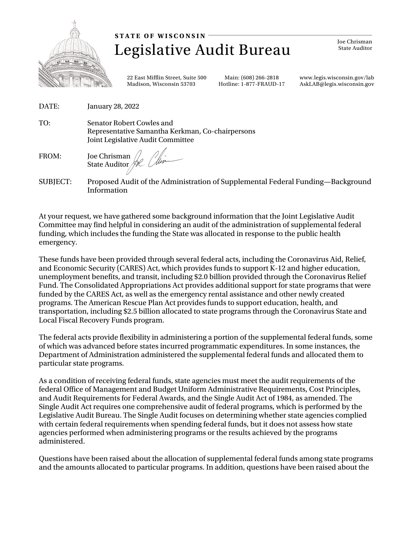

Legislative Audit Bureau **STATE OF WISCONSIN** 

Joe Chrisman State Auditor

[22](http://www.legis.wisconsin.gov/lab) East Mifflin Street, Suite 500 Madison, Wisconsin 53703

Main: (608) 266-2818 Hotline: 1-877-FRAUD-17 [www.legis.wisconsin.gov/lab](http://www.legis.wisconsin.gov/lab) AskLAB@legis.wisconsin.gov

- DATE: January 28, 2022
- TO: Senator Robert Cowles and Representative Samantha Kerkman, Co-chairpersons Joint Legislative Audit Committee

FROM: Joe Chrisman State Auditor

SUBJECT: Proposed Audit of the Administration of Supplemental Federal Funding—Background Information

At your request, we have gathered some background information that the Joint Legislative Audit Committee may find helpful in considering an audit of the administration of supplemental federal funding, which includes the funding the State was allocated in response to the public health emergency.

These funds have been provided through several federal acts, including the Coronavirus Aid, Relief, and Economic Security (CARES) Act, which provides funds to support K-12 and higher education, unemployment benefits, and transit, including \$2.0 billion provided through the Coronavirus Relief Fund. The Consolidated Appropriations Act provides additional support for state programs that were funded by the CARES Act, as well as the emergency rental assistance and other newly created programs. The American Rescue Plan Act provides funds to support education, health, and transportation, including \$2.5 billion allocated to state programs through the Coronavirus State and Local Fiscal Recovery Funds program.

The federal acts provide flexibility in administering a portion of the supplemental federal funds, some of which was advanced before states incurred programmatic expenditures. In some instances, the Department of Administration administered the supplemental federal funds and allocated them to particular state programs.

As a condition of receiving federal funds, state agencies must meet the audit requirements of the federal Office of Management and Budget Uniform Administrative Requirements, Cost Principles, and Audit Requirements for Federal Awards, and the Single Audit Act of 1984, as amended. The Single Audit Act requires one comprehensive audit of federal programs, which is performed by the Legislative Audit Bureau. The Single Audit focuses on determining whether state agencies complied with certain federal requirements when spending federal funds, but it does not assess how state agencies performed when administering programs or the results achieved by the programs administered.

Questions have been raised about the allocation of supplemental federal funds among state programs and the amounts allocated to particular programs. In addition, questions have been raised about the